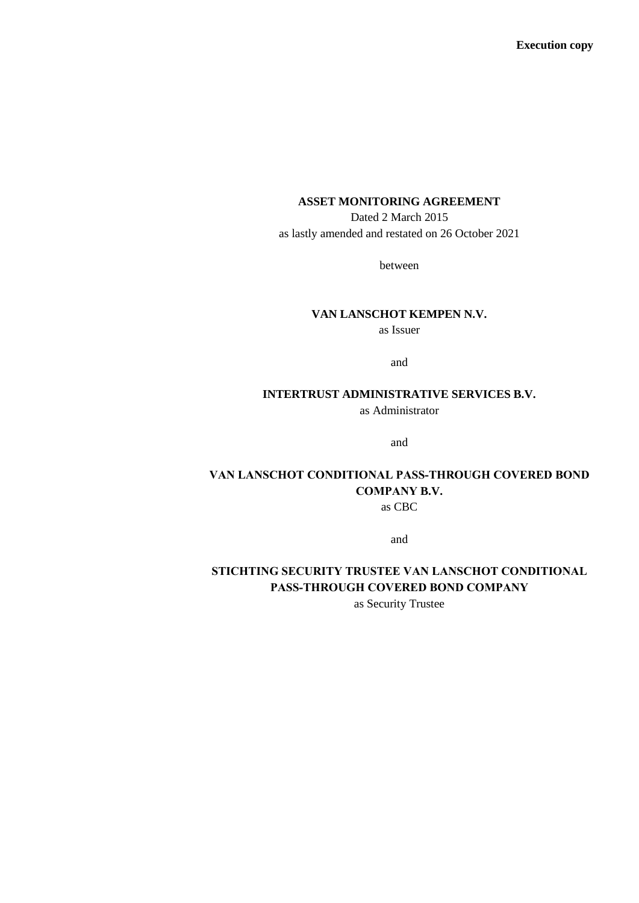# **ASSET MONITORING AGREEMENT**

Dated 2 March 2015 as lastly amended and restated on 26 October 2021

between

# **VAN LANSCHOT KEMPEN N.V.**

as Issuer

and

# **INTERTRUST ADMINISTRATIVE SERVICES B.V.**

as Administrator

and

# **VAN LANSCHOT CONDITIONAL PASS-THROUGH COVERED BOND COMPANY B.V.**

as CBC

and

# **STICHTING SECURITY TRUSTEE VAN LANSCHOT CONDITIONAL PASS-THROUGH COVERED BOND COMPANY**

as Security Trustee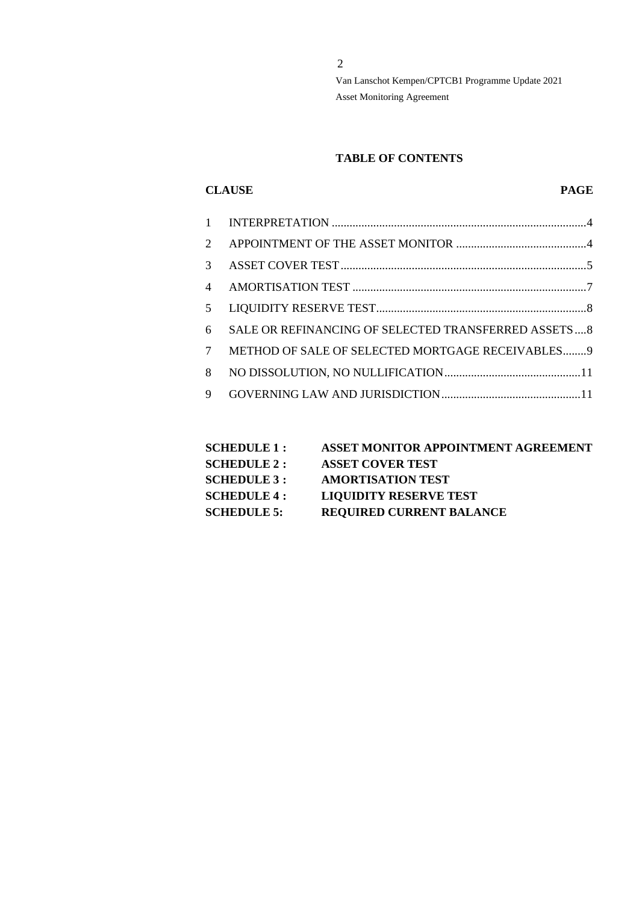# **TABLE OF CONTENTS**

# **CLAUSE PAGE**

| $\mathcal{D}_{\mathcal{L}}$ |                                                     |
|-----------------------------|-----------------------------------------------------|
| 3                           |                                                     |
| $\overline{\mathcal{A}}$    |                                                     |
| 5                           |                                                     |
| 6                           | SALE OR REFINANCING OF SELECTED TRANSFERRED ASSETS8 |
| 7                           | METHOD OF SALE OF SELECTED MORTGAGE RECEIVABLES 9   |
| 8                           |                                                     |
| 9                           |                                                     |
|                             |                                                     |

| <b>SCHEDULE 1 :</b> | ASSET MONITOR APPOINTMENT AGREEMENT |
|---------------------|-------------------------------------|
| <b>SCHEDULE 2 :</b> | <b>ASSET COVER TEST</b>             |
| <b>SCHEDULE 3 :</b> | <b>AMORTISATION TEST</b>            |
| <b>SCHEDULE 4 :</b> | <b>LIQUIDITY RESERVE TEST</b>       |
| <b>SCHEDULE 5:</b>  | <b>REQUIRED CURRENT BALANCE</b>     |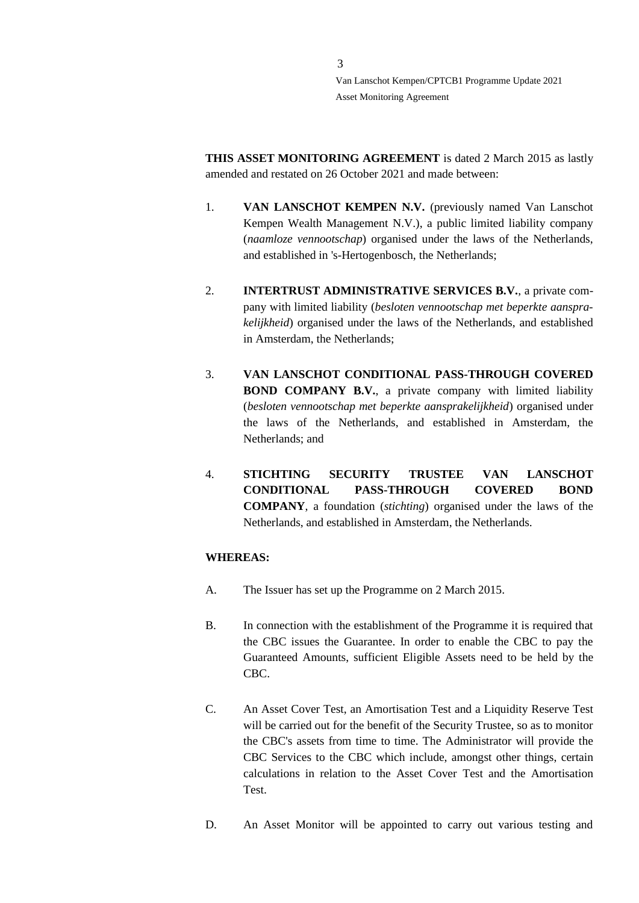**THIS ASSET MONITORING AGREEMENT** is dated 2 March 2015 as lastly amended and restated on 26 October 2021 and made between:

- 1. **VAN LANSCHOT KEMPEN N.V.** (previously named Van Lanschot Kempen Wealth Management N.V.), a public limited liability company (*naamloze vennootschap*) organised under the laws of the Netherlands, and established in 's-Hertogenbosch, the Netherlands;
- 2. **INTERTRUST ADMINISTRATIVE SERVICES B.V.**, a private company with limited liability (*besloten vennootschap met beperkte aansprakelijkheid*) organised under the laws of the Netherlands, and established in Amsterdam, the Netherlands;
- 3. **VAN LANSCHOT CONDITIONAL PASS-THROUGH COVERED BOND COMPANY B.V.**, a private company with limited liability (*besloten vennootschap met beperkte aansprakelijkheid*) organised under the laws of the Netherlands, and established in Amsterdam, the Netherlands; and
- 4. **STICHTING SECURITY TRUSTEE VAN LANSCHOT CONDITIONAL PASS-THROUGH COVERED BOND COMPANY**, a foundation (*stichting*) organised under the laws of the Netherlands, and established in Amsterdam, the Netherlands.

# **WHEREAS:**

- A. The Issuer has set up the Programme on 2 March 2015.
- B. In connection with the establishment of the Programme it is required that the CBC issues the Guarantee. In order to enable the CBC to pay the Guaranteed Amounts, sufficient Eligible Assets need to be held by the CBC.
- C. An Asset Cover Test, an Amortisation Test and a Liquidity Reserve Test will be carried out for the benefit of the Security Trustee, so as to monitor the CBC's assets from time to time. The Administrator will provide the CBC Services to the CBC which include, amongst other things, certain calculations in relation to the Asset Cover Test and the Amortisation Test.
- D. An Asset Monitor will be appointed to carry out various testing and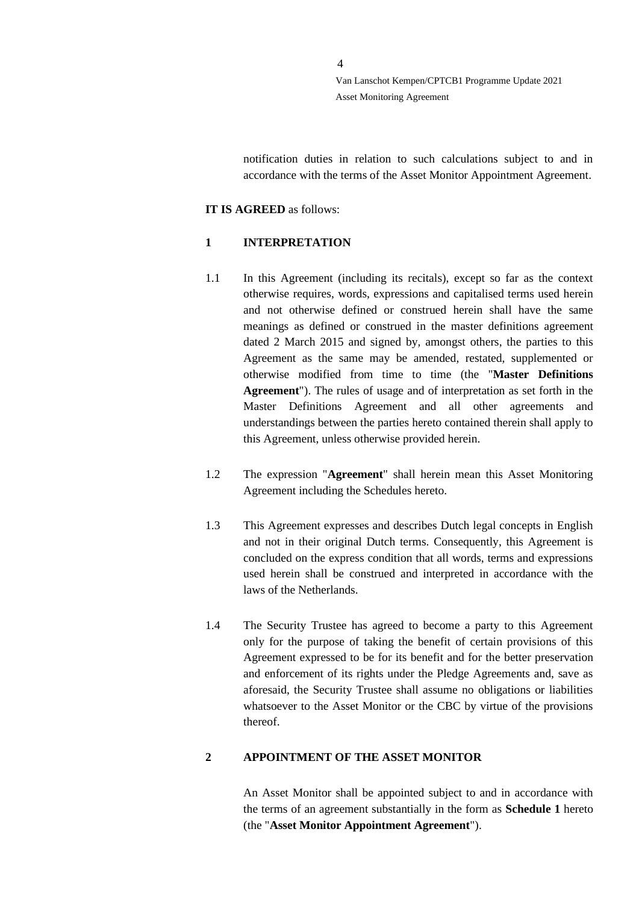notification duties in relation to such calculations subject to and in accordance with the terms of the Asset Monitor Appointment Agreement.

#### **IT IS AGREED** as follows:

# <span id="page-3-0"></span>**1 INTERPRETATION**

- 1.1 In this Agreement (including its recitals), except so far as the context otherwise requires, words, expressions and capitalised terms used herein and not otherwise defined or construed herein shall have the same meanings as defined or construed in the master definitions agreement dated 2 March 2015 and signed by, amongst others, the parties to this Agreement as the same may be amended, restated, supplemented or otherwise modified from time to time (the "**Master Definitions Agreement**"). The rules of usage and of interpretation as set forth in the Master Definitions Agreement and all other agreements and understandings between the parties hereto contained therein shall apply to this Agreement, unless otherwise provided herein.
- 1.2 The expression "**Agreement**" shall herein mean this Asset Monitoring Agreement including the Schedules hereto.
- 1.3 This Agreement expresses and describes Dutch legal concepts in English and not in their original Dutch terms. Consequently, this Agreement is concluded on the express condition that all words, terms and expressions used herein shall be construed and interpreted in accordance with the laws of the Netherlands.
- 1.4 The Security Trustee has agreed to become a party to this Agreement only for the purpose of taking the benefit of certain provisions of this Agreement expressed to be for its benefit and for the better preservation and enforcement of its rights under the Pledge Agreements and, save as aforesaid, the Security Trustee shall assume no obligations or liabilities whatsoever to the Asset Monitor or the CBC by virtue of the provisions thereof.

# <span id="page-3-1"></span>**2 APPOINTMENT OF THE ASSET MONITOR**

An Asset Monitor shall be appointed subject to and in accordance with the terms of an agreement substantially in the form as **Schedule 1** hereto (the "**Asset Monitor Appointment Agreement**").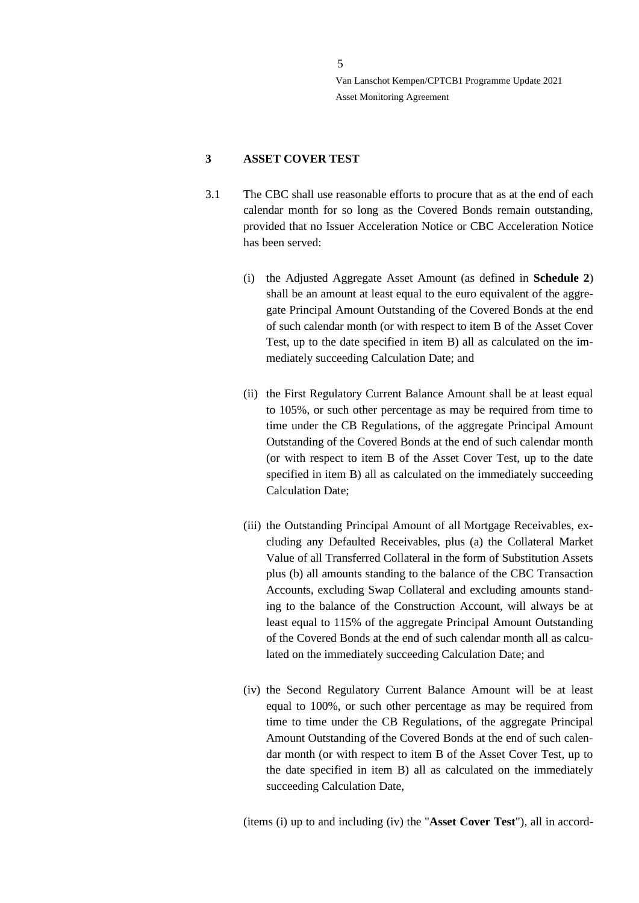# <span id="page-4-0"></span>**3 ASSET COVER TEST**

- 3.1 The CBC shall use reasonable efforts to procure that as at the end of each calendar month for so long as the Covered Bonds remain outstanding, provided that no Issuer Acceleration Notice or CBC Acceleration Notice has been served:
	- (i) the Adjusted Aggregate Asset Amount (as defined in **Schedule 2**) shall be an amount at least equal to the euro equivalent of the aggregate Principal Amount Outstanding of the Covered Bonds at the end of such calendar month (or with respect to item B of the Asset Cover Test, up to the date specified in item B) all as calculated on the immediately succeeding Calculation Date; and
	- (ii) the First Regulatory Current Balance Amount shall be at least equal to 105%, or such other percentage as may be required from time to time under the CB Regulations, of the aggregate Principal Amount Outstanding of the Covered Bonds at the end of such calendar month (or with respect to item B of the Asset Cover Test, up to the date specified in item B) all as calculated on the immediately succeeding Calculation Date;
	- (iii) the Outstanding Principal Amount of all Mortgage Receivables, excluding any Defaulted Receivables, plus (a) the Collateral Market Value of all Transferred Collateral in the form of Substitution Assets plus (b) all amounts standing to the balance of the CBC Transaction Accounts, excluding Swap Collateral and excluding amounts standing to the balance of the Construction Account, will always be at least equal to 115% of the aggregate Principal Amount Outstanding of the Covered Bonds at the end of such calendar month all as calculated on the immediately succeeding Calculation Date; and
	- (iv) the Second Regulatory Current Balance Amount will be at least equal to 100%, or such other percentage as may be required from time to time under the CB Regulations, of the aggregate Principal Amount Outstanding of the Covered Bonds at the end of such calendar month (or with respect to item B of the Asset Cover Test, up to the date specified in item B) all as calculated on the immediately succeeding Calculation Date,

(items (i) up to and including (iv) the "**Asset Cover Test**"), all in accord-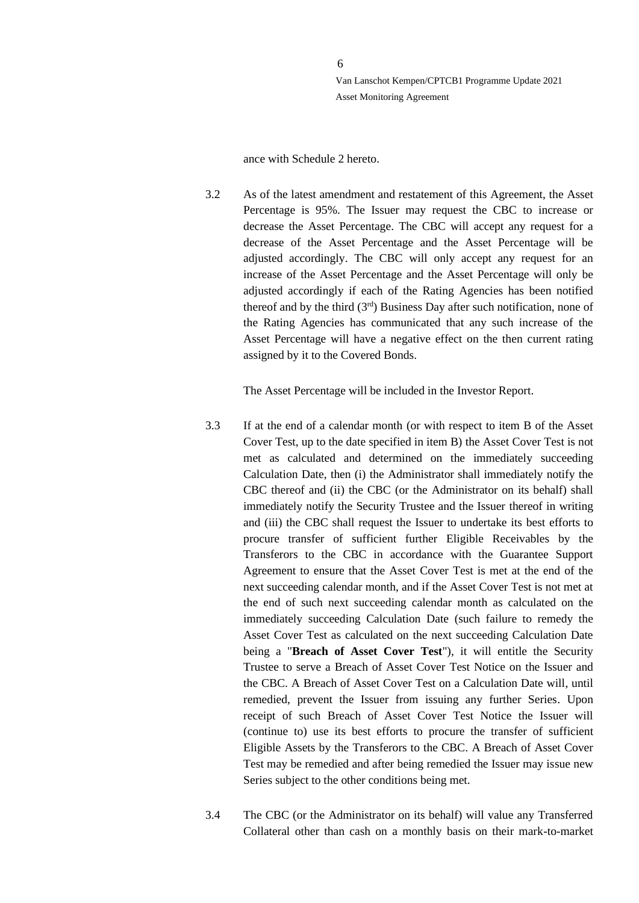ance with Schedule 2 hereto.

3.2 As of the latest amendment and restatement of this Agreement, the Asset Percentage is 95%. The Issuer may request the CBC to increase or decrease the Asset Percentage. The CBC will accept any request for a decrease of the Asset Percentage and the Asset Percentage will be adjusted accordingly. The CBC will only accept any request for an increase of the Asset Percentage and the Asset Percentage will only be adjusted accordingly if each of the Rating Agencies has been notified thereof and by the third  $(3<sup>rd</sup>)$  Business Day after such notification, none of the Rating Agencies has communicated that any such increase of the Asset Percentage will have a negative effect on the then current rating assigned by it to the Covered Bonds.

The Asset Percentage will be included in the Investor Report.

- 3.3 If at the end of a calendar month (or with respect to item B of the Asset Cover Test, up to the date specified in item B) the Asset Cover Test is not met as calculated and determined on the immediately succeeding Calculation Date, then (i) the Administrator shall immediately notify the CBC thereof and (ii) the CBC (or the Administrator on its behalf) shall immediately notify the Security Trustee and the Issuer thereof in writing and (iii) the CBC shall request the Issuer to undertake its best efforts to procure transfer of sufficient further Eligible Receivables by the Transferors to the CBC in accordance with the Guarantee Support Agreement to ensure that the Asset Cover Test is met at the end of the next succeeding calendar month, and if the Asset Cover Test is not met at the end of such next succeeding calendar month as calculated on the immediately succeeding Calculation Date (such failure to remedy the Asset Cover Test as calculated on the next succeeding Calculation Date being a "**Breach of Asset Cover Test**"), it will entitle the Security Trustee to serve a Breach of Asset Cover Test Notice on the Issuer and the CBC. A Breach of Asset Cover Test on a Calculation Date will, until remedied, prevent the Issuer from issuing any further Series. Upon receipt of such Breach of Asset Cover Test Notice the Issuer will (continue to) use its best efforts to procure the transfer of sufficient Eligible Assets by the Transferors to the CBC. A Breach of Asset Cover Test may be remedied and after being remedied the Issuer may issue new Series subject to the other conditions being met.
- 3.4 The CBC (or the Administrator on its behalf) will value any Transferred Collateral other than cash on a monthly basis on their mark-to-market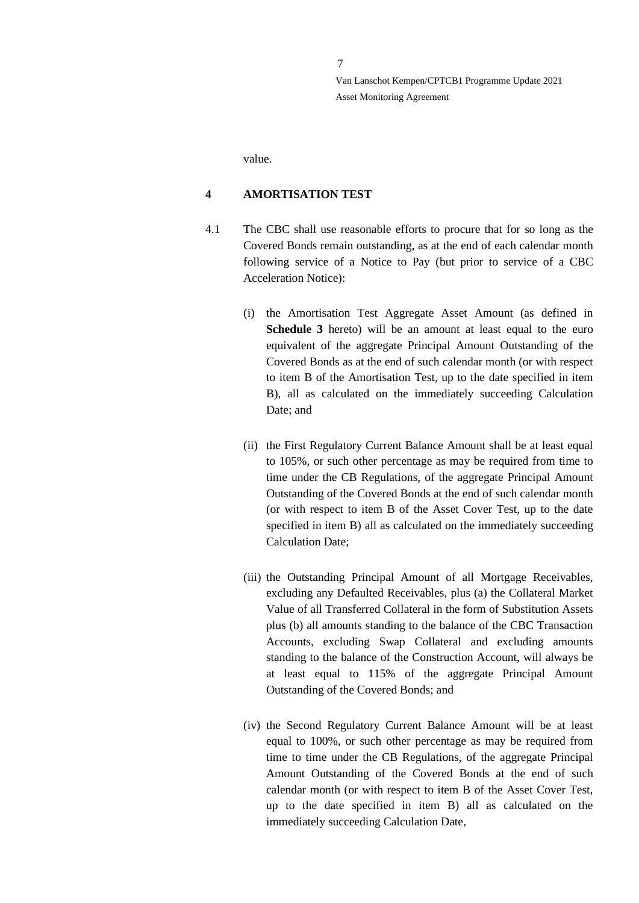value.

# <span id="page-6-0"></span>**4 AMORTISATION TEST**

- 4.1 The CBC shall use reasonable efforts to procure that for so long as the Covered Bonds remain outstanding, as at the end of each calendar month following service of a Notice to Pay (but prior to service of a CBC Acceleration Notice):
	- (i) the Amortisation Test Aggregate Asset Amount (as defined in **Schedule 3** hereto) will be an amount at least equal to the euro equivalent of the aggregate Principal Amount Outstanding of the Covered Bonds as at the end of such calendar month (or with respect to item B of the Amortisation Test, up to the date specified in item B), all as calculated on the immediately succeeding Calculation Date; and
	- (ii) the First Regulatory Current Balance Amount shall be at least equal to 105%, or such other percentage as may be required from time to time under the CB Regulations, of the aggregate Principal Amount Outstanding of the Covered Bonds at the end of such calendar month (or with respect to item B of the Asset Cover Test, up to the date specified in item B) all as calculated on the immediately succeeding Calculation Date;
	- (iii) the Outstanding Principal Amount of all Mortgage Receivables, excluding any Defaulted Receivables, plus (a) the Collateral Market Value of all Transferred Collateral in the form of Substitution Assets plus (b) all amounts standing to the balance of the CBC Transaction Accounts, excluding Swap Collateral and excluding amounts standing to the balance of the Construction Account, will always be at least equal to 115% of the aggregate Principal Amount Outstanding of the Covered Bonds; and
	- (iv) the Second Regulatory Current Balance Amount will be at least equal to 100%, or such other percentage as may be required from time to time under the CB Regulations, of the aggregate Principal Amount Outstanding of the Covered Bonds at the end of such calendar month (or with respect to item B of the Asset Cover Test, up to the date specified in item B) all as calculated on the immediately succeeding Calculation Date,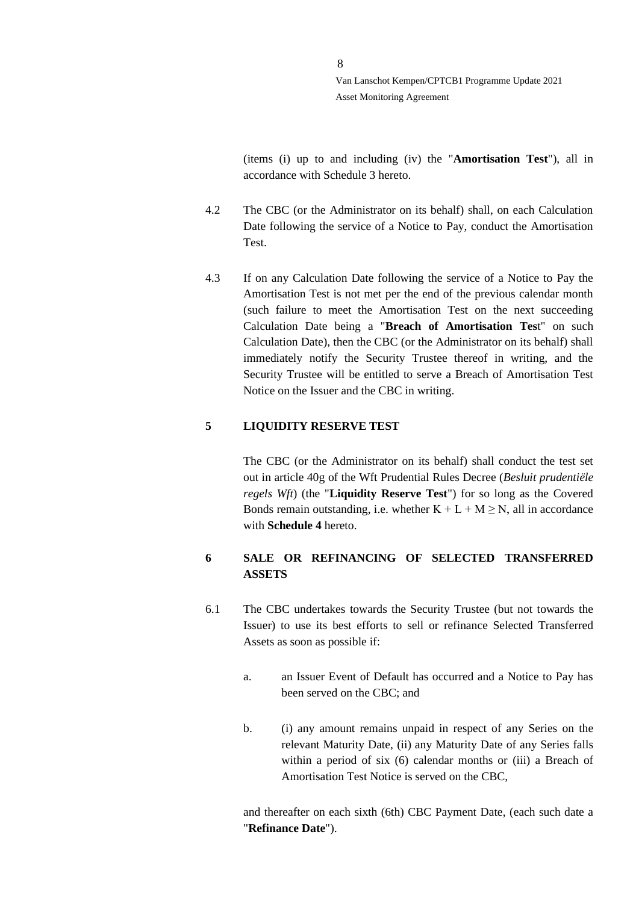(items (i) up to and including (iv) the "**Amortisation Test**"), all in accordance with Schedule 3 hereto.

- 4.2 The CBC (or the Administrator on its behalf) shall, on each Calculation Date following the service of a Notice to Pay, conduct the Amortisation Test.
- 4.3 If on any Calculation Date following the service of a Notice to Pay the Amortisation Test is not met per the end of the previous calendar month (such failure to meet the Amortisation Test on the next succeeding Calculation Date being a "**Breach of Amortisation Tes**t" on such Calculation Date), then the CBC (or the Administrator on its behalf) shall immediately notify the Security Trustee thereof in writing, and the Security Trustee will be entitled to serve a Breach of Amortisation Test Notice on the Issuer and the CBC in writing.

# <span id="page-7-0"></span>**5 LIQUIDITY RESERVE TEST**

The CBC (or the Administrator on its behalf) shall conduct the test set out in article 40g of the Wft Prudential Rules Decree (*Besluit prudentiële regels Wft*) (the "**Liquidity Reserve Test**") for so long as the Covered Bonds remain outstanding, i.e. whether  $K + L + M \ge N$ , all in accordance with **Schedule 4** hereto.

# <span id="page-7-1"></span>**6 SALE OR REFINANCING OF SELECTED TRANSFERRED ASSETS**

- <span id="page-7-2"></span>6.1 The CBC undertakes towards the Security Trustee (but not towards the Issuer) to use its best efforts to sell or refinance Selected Transferred Assets as soon as possible if:
	- a. an Issuer Event of Default has occurred and a Notice to Pay has been served on the CBC; and
	- b. (i) any amount remains unpaid in respect of any Series on the relevant Maturity Date, (ii) any Maturity Date of any Series falls within a period of six (6) calendar months or (iii) a Breach of Amortisation Test Notice is served on the CBC,

and thereafter on each sixth (6th) CBC Payment Date, (each such date a "**Refinance Date**").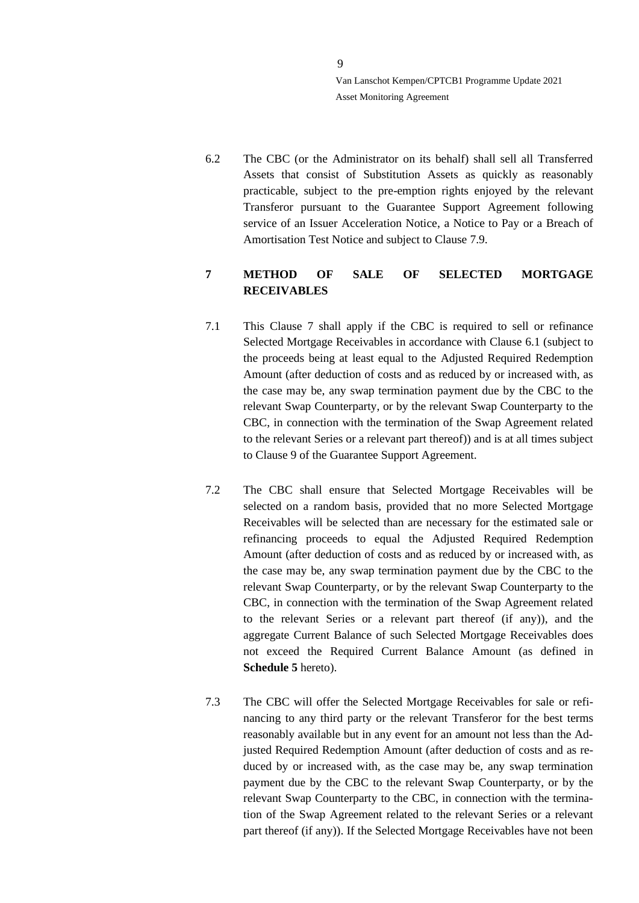6.2 The CBC (or the Administrator on its behalf) shall sell all Transferred Assets that consist of Substitution Assets as quickly as reasonably practicable, subject to the pre-emption rights enjoyed by the relevant Transferor pursuant to the Guarantee Support Agreement following service of an Issuer Acceleration Notice, a Notice to Pay or a Breach of Amortisation Test Notice and subject to Clause [7.9.](#page-10-2)

# <span id="page-8-0"></span>**7 METHOD OF SALE OF SELECTED MORTGAGE RECEIVABLES**

- <span id="page-8-1"></span>7.1 This Clause 7 shall apply if the CBC is required to sell or refinance Selected Mortgage Receivables in accordance with Clause [6.1](#page-7-2) (subject to the proceeds being at least equal to the Adjusted Required Redemption Amount (after deduction of costs and as reduced by or increased with, as the case may be, any swap termination payment due by the CBC to the relevant Swap Counterparty, or by the relevant Swap Counterparty to the CBC, in connection with the termination of the Swap Agreement related to the relevant Series or a relevant part thereof)) and is at all times subject to Clause 9 of the Guarantee Support Agreement.
- 7.2 The CBC shall ensure that Selected Mortgage Receivables will be selected on a random basis, provided that no more Selected Mortgage Receivables will be selected than are necessary for the estimated sale or refinancing proceeds to equal the Adjusted Required Redemption Amount (after deduction of costs and as reduced by or increased with, as the case may be, any swap termination payment due by the CBC to the relevant Swap Counterparty, or by the relevant Swap Counterparty to the CBC, in connection with the termination of the Swap Agreement related to the relevant Series or a relevant part thereof (if any)), and the aggregate Current Balance of such Selected Mortgage Receivables does not exceed the Required Current Balance Amount (as defined in **Schedule 5** hereto).
- 7.3 The CBC will offer the Selected Mortgage Receivables for sale or refinancing to any third party or the relevant Transferor for the best terms reasonably available but in any event for an amount not less than the Adjusted Required Redemption Amount (after deduction of costs and as reduced by or increased with, as the case may be, any swap termination payment due by the CBC to the relevant Swap Counterparty, or by the relevant Swap Counterparty to the CBC, in connection with the termination of the Swap Agreement related to the relevant Series or a relevant part thereof (if any)). If the Selected Mortgage Receivables have not been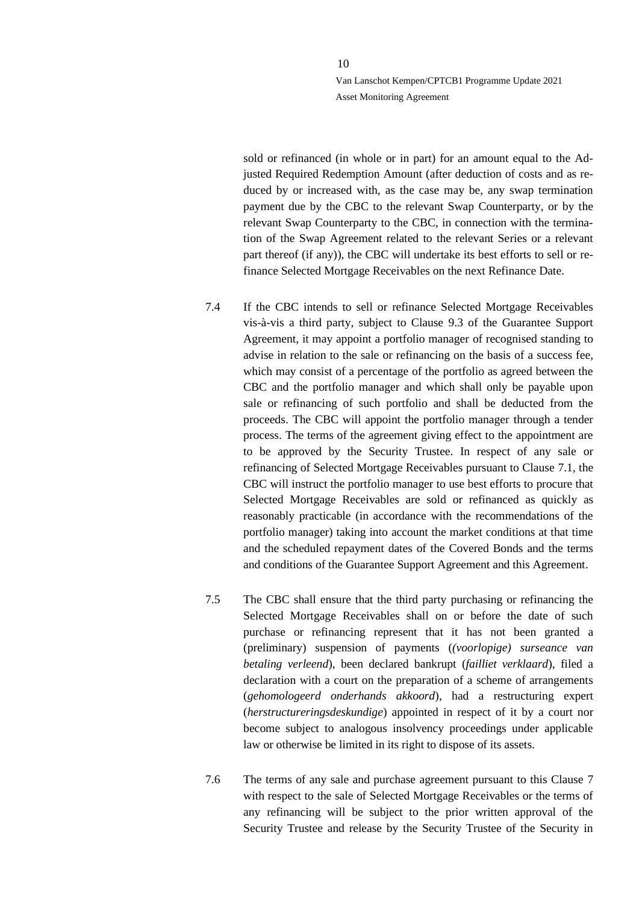sold or refinanced (in whole or in part) for an amount equal to the Adjusted Required Redemption Amount (after deduction of costs and as reduced by or increased with, as the case may be, any swap termination payment due by the CBC to the relevant Swap Counterparty, or by the relevant Swap Counterparty to the CBC, in connection with the termination of the Swap Agreement related to the relevant Series or a relevant part thereof (if any)), the CBC will undertake its best efforts to sell or refinance Selected Mortgage Receivables on the next Refinance Date.

- 7.4 If the CBC intends to sell or refinance Selected Mortgage Receivables vis-à-vis a third party, subject to Clause 9.3 of the Guarantee Support Agreement, it may appoint a portfolio manager of recognised standing to advise in relation to the sale or refinancing on the basis of a success fee, which may consist of a percentage of the portfolio as agreed between the CBC and the portfolio manager and which shall only be payable upon sale or refinancing of such portfolio and shall be deducted from the proceeds. The CBC will appoint the portfolio manager through a tender process. The terms of the agreement giving effect to the appointment are to be approved by the Security Trustee. In respect of any sale or refinancing of Selected Mortgage Receivables pursuant to Clause [7.1,](#page-8-1) the CBC will instruct the portfolio manager to use best efforts to procure that Selected Mortgage Receivables are sold or refinanced as quickly as reasonably practicable (in accordance with the recommendations of the portfolio manager) taking into account the market conditions at that time and the scheduled repayment dates of the Covered Bonds and the terms and conditions of the Guarantee Support Agreement and this Agreement.
- 7.5 The CBC shall ensure that the third party purchasing or refinancing the Selected Mortgage Receivables shall on or before the date of such purchase or refinancing represent that it has not been granted a (preliminary) suspension of payments (*(voorlopige) surseance van betaling verleend*), been declared bankrupt (*failliet verklaard*), filed a declaration with a court on the preparation of a scheme of arrangements (*gehomologeerd onderhands akkoord*), had a restructuring expert (*herstructureringsdeskundige*) appointed in respect of it by a court nor become subject to analogous insolvency proceedings under applicable law or otherwise be limited in its right to dispose of its assets.
- 7.6 The terms of any sale and purchase agreement pursuant to this Clause [7](#page-8-0) with respect to the sale of Selected Mortgage Receivables or the terms of any refinancing will be subject to the prior written approval of the Security Trustee and release by the Security Trustee of the Security in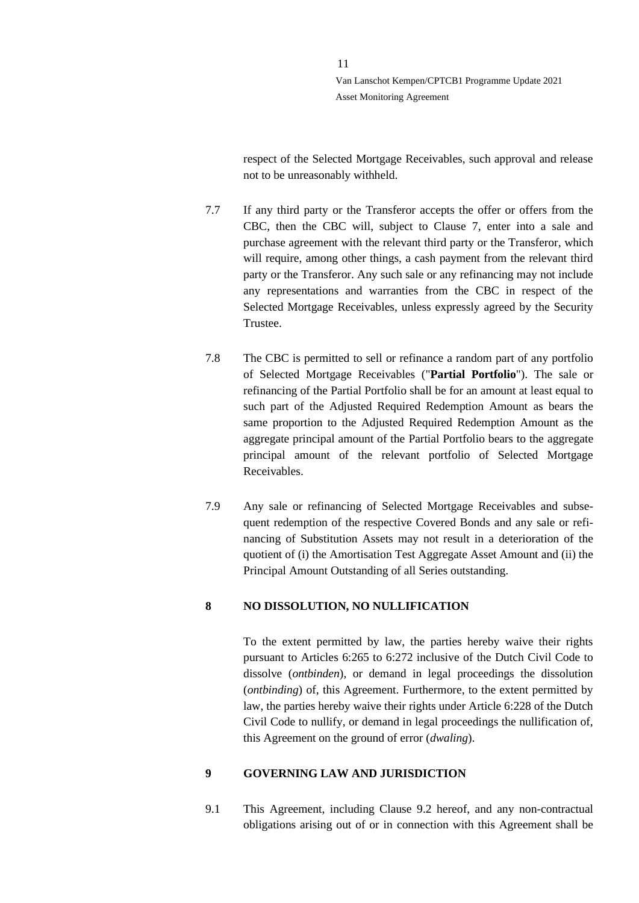respect of the Selected Mortgage Receivables, such approval and release not to be unreasonably withheld.

- 7.7 If any third party or the Transferor accepts the offer or offers from the CBC, then the CBC will, subject to Clause [7,](#page-8-0) enter into a sale and purchase agreement with the relevant third party or the Transferor, which will require, among other things, a cash payment from the relevant third party or the Transferor. Any such sale or any refinancing may not include any representations and warranties from the CBC in respect of the Selected Mortgage Receivables, unless expressly agreed by the Security Trustee.
- 7.8 The CBC is permitted to sell or refinance a random part of any portfolio of Selected Mortgage Receivables ("**Partial Portfolio**"). The sale or refinancing of the Partial Portfolio shall be for an amount at least equal to such part of the Adjusted Required Redemption Amount as bears the same proportion to the Adjusted Required Redemption Amount as the aggregate principal amount of the Partial Portfolio bears to the aggregate principal amount of the relevant portfolio of Selected Mortgage Receivables.
- <span id="page-10-2"></span>7.9 Any sale or refinancing of Selected Mortgage Receivables and subsequent redemption of the respective Covered Bonds and any sale or refinancing of Substitution Assets may not result in a deterioration of the quotient of (i) the Amortisation Test Aggregate Asset Amount and (ii) the Principal Amount Outstanding of all Series outstanding.

# <span id="page-10-0"></span>**8 NO DISSOLUTION, NO NULLIFICATION**

To the extent permitted by law, the parties hereby waive their rights pursuant to Articles 6:265 to 6:272 inclusive of the Dutch Civil Code to dissolve (*ontbinden*), or demand in legal proceedings the dissolution (*ontbinding*) of, this Agreement. Furthermore, to the extent permitted by law, the parties hereby waive their rights under Article 6:228 of the Dutch Civil Code to nullify, or demand in legal proceedings the nullification of, this Agreement on the ground of error (*dwaling*).

# <span id="page-10-1"></span>**9 GOVERNING LAW AND JURISDICTION**

9.1 This Agreement, including Clause [9.2](#page-11-0) hereof, and any non-contractual obligations arising out of or in connection with this Agreement shall be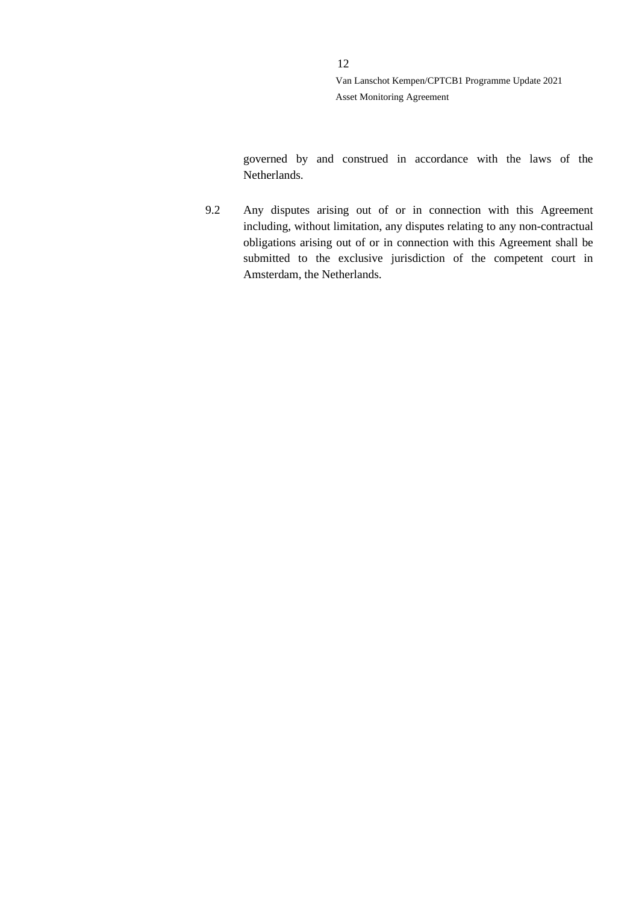governed by and construed in accordance with the laws of the Netherlands.

<span id="page-11-0"></span>9.2 Any disputes arising out of or in connection with this Agreement including, without limitation, any disputes relating to any non-contractual obligations arising out of or in connection with this Agreement shall be submitted to the exclusive jurisdiction of the competent court in Amsterdam, the Netherlands.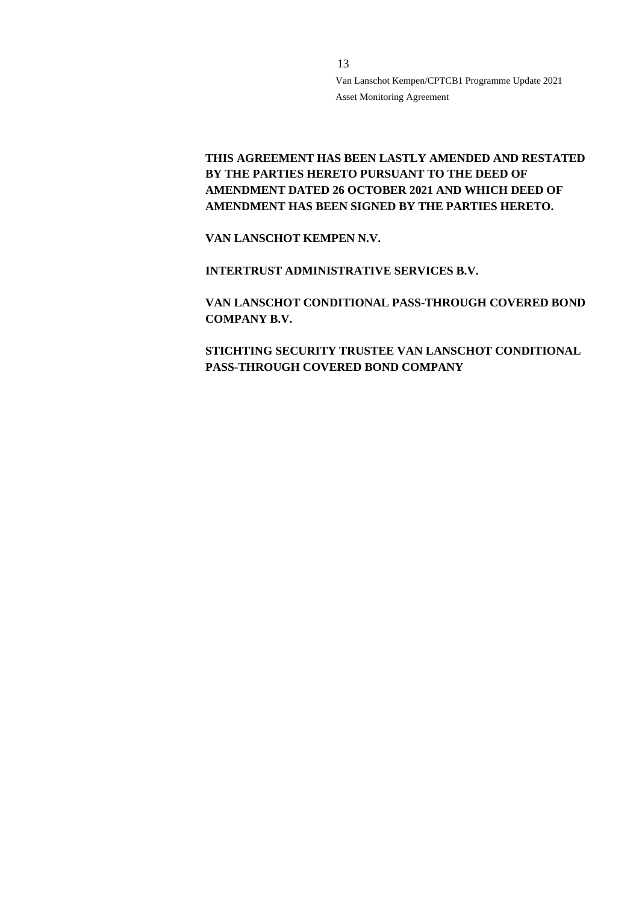# **THIS AGREEMENT HAS BEEN LASTLY AMENDED AND RESTATED BY THE PARTIES HERETO PURSUANT TO THE DEED OF AMENDMENT DATED 26 OCTOBER 2021 AND WHICH DEED OF AMENDMENT HAS BEEN SIGNED BY THE PARTIES HERETO.**

**VAN LANSCHOT KEMPEN N.V.**

**INTERTRUST ADMINISTRATIVE SERVICES B.V.**

**VAN LANSCHOT CONDITIONAL PASS-THROUGH COVERED BOND COMPANY B.V.**

**STICHTING SECURITY TRUSTEE VAN LANSCHOT CONDITIONAL PASS-THROUGH COVERED BOND COMPANY**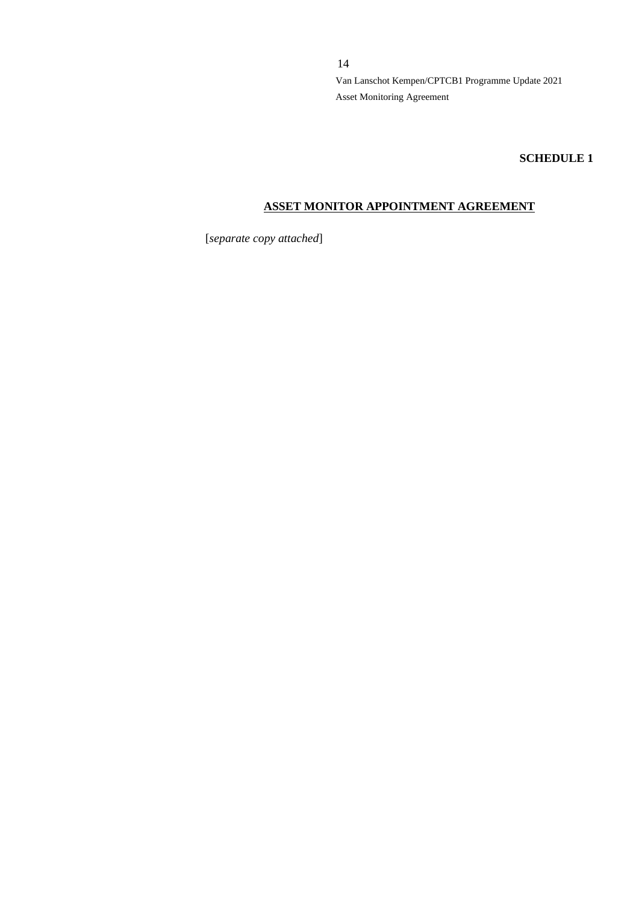**SCHEDULE 1**

# **ASSET MONITOR APPOINTMENT AGREEMENT**

[*separate copy attached*]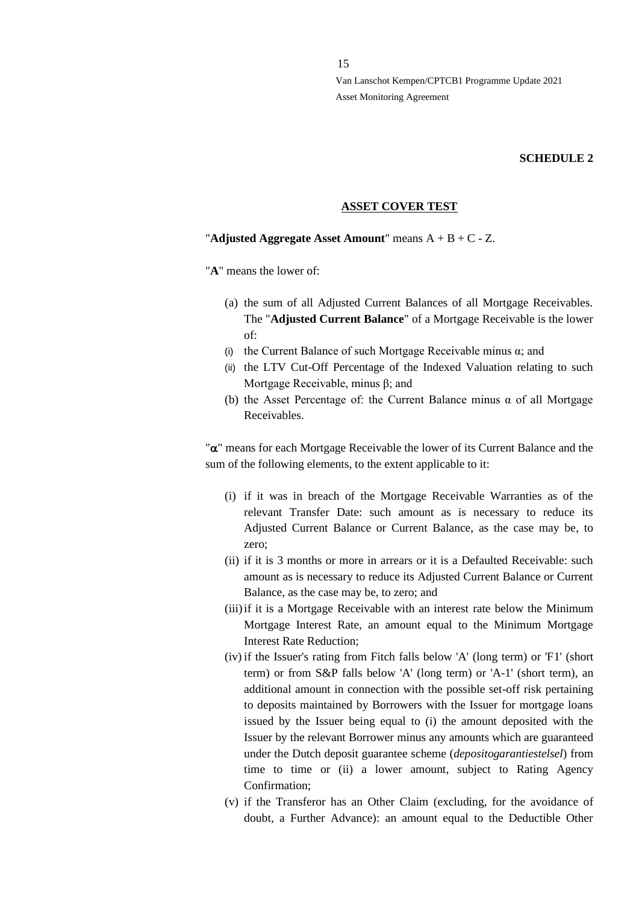#### **SCHEDULE 2**

#### **ASSET COVER TEST**

## "**Adjusted Aggregate Asset Amount**" means A + B + C - Z.

"**A**" means the lower of:

- (a) the sum of all Adjusted Current Balances of all Mortgage Receivables. The "**Adjusted Current Balance**" of a Mortgage Receivable is the lower of:
- (i) the Current Balance of such Mortgage Receivable minus  $\alpha$ ; and
- (ii) the LTV Cut-Off Percentage of the Indexed Valuation relating to such Mortgage Receivable, minus β; and
- (b) the Asset Percentage of: the Current Balance minus  $\alpha$  of all Mortgage Receivables.

" $\alpha$ " means for each Mortgage Receivable the lower of its Current Balance and the sum of the following elements, to the extent applicable to it:

- (i) if it was in breach of the Mortgage Receivable Warranties as of the relevant Transfer Date: such amount as is necessary to reduce its Adjusted Current Balance or Current Balance, as the case may be, to zero;
- (ii) if it is 3 months or more in arrears or it is a Defaulted Receivable: such amount as is necessary to reduce its Adjusted Current Balance or Current Balance, as the case may be, to zero; and
- (iii) if it is a Mortgage Receivable with an interest rate below the Minimum Mortgage Interest Rate, an amount equal to the Minimum Mortgage Interest Rate Reduction;
- (iv) if the Issuer's rating from Fitch falls below 'A' (long term) or 'F1' (short term) or from S&P falls below 'A' (long term) or 'A-1' (short term), an additional amount in connection with the possible set-off risk pertaining to deposits maintained by Borrowers with the Issuer for mortgage loans issued by the Issuer being equal to (i) the amount deposited with the Issuer by the relevant Borrower minus any amounts which are guaranteed under the Dutch deposit guarantee scheme (*depositogarantiestelsel*) from time to time or (ii) a lower amount, subject to Rating Agency Confirmation;
- (v) if the Transferor has an Other Claim (excluding, for the avoidance of doubt, a Further Advance): an amount equal to the Deductible Other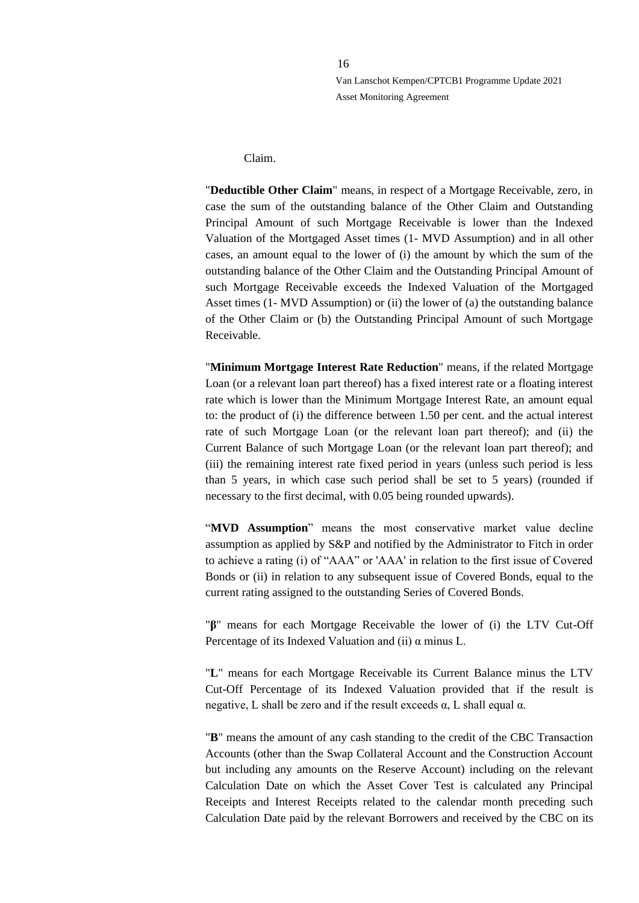Claim.

"**Deductible Other Claim**" means, in respect of a Mortgage Receivable, zero, in case the sum of the outstanding balance of the Other Claim and Outstanding Principal Amount of such Mortgage Receivable is lower than the Indexed Valuation of the Mortgaged Asset times (1- MVD Assumption) and in all other cases, an amount equal to the lower of (i) the amount by which the sum of the outstanding balance of the Other Claim and the Outstanding Principal Amount of such Mortgage Receivable exceeds the Indexed Valuation of the Mortgaged Asset times (1- MVD Assumption) or (ii) the lower of (a) the outstanding balance of the Other Claim or (b) the Outstanding Principal Amount of such Mortgage Receivable.

"**Minimum Mortgage Interest Rate Reduction**" means, if the related Mortgage Loan (or a relevant loan part thereof) has a fixed interest rate or a floating interest rate which is lower than the Minimum Mortgage Interest Rate, an amount equal to: the product of (i) the difference between 1.50 per cent. and the actual interest rate of such Mortgage Loan (or the relevant loan part thereof); and (ii) the Current Balance of such Mortgage Loan (or the relevant loan part thereof); and (iii) the remaining interest rate fixed period in years (unless such period is less than 5 years, in which case such period shall be set to 5 years) (rounded if necessary to the first decimal, with 0.05 being rounded upwards).

"**MVD Assumption**" means the most conservative market value decline assumption as applied by S&P and notified by the Administrator to Fitch in order to achieve a rating (i) of "AAA" or 'AAA' in relation to the first issue of Covered Bonds or (ii) in relation to any subsequent issue of Covered Bonds, equal to the current rating assigned to the outstanding Series of Covered Bonds.

"**β**" means for each Mortgage Receivable the lower of (i) the LTV Cut-Off Percentage of its Indexed Valuation and (ii) α minus L.

"**L**" means for each Mortgage Receivable its Current Balance minus the LTV Cut-Off Percentage of its Indexed Valuation provided that if the result is negative, L shall be zero and if the result exceeds  $α$ , L shall equal  $α$ .

"**B**" means the amount of any cash standing to the credit of the CBC Transaction Accounts (other than the Swap Collateral Account and the Construction Account but including any amounts on the Reserve Account) including on the relevant Calculation Date on which the Asset Cover Test is calculated any Principal Receipts and Interest Receipts related to the calendar month preceding such Calculation Date paid by the relevant Borrowers and received by the CBC on its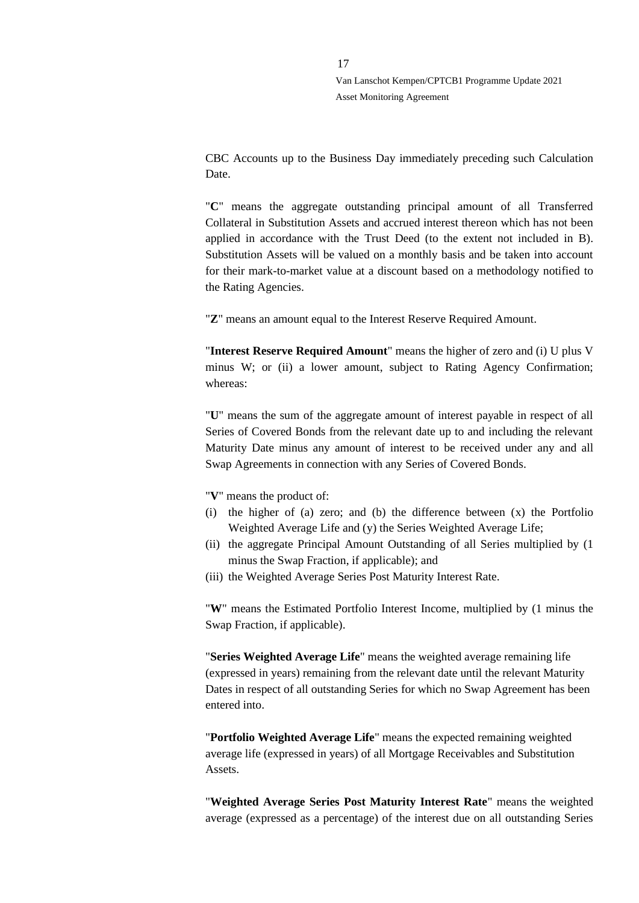CBC Accounts up to the Business Day immediately preceding such Calculation Date.

"**C**" means the aggregate outstanding principal amount of all Transferred Collateral in Substitution Assets and accrued interest thereon which has not been applied in accordance with the Trust Deed (to the extent not included in B). Substitution Assets will be valued on a monthly basis and be taken into account for their mark-to-market value at a discount based on a methodology notified to the Rating Agencies.

"**Z**" means an amount equal to the Interest Reserve Required Amount.

"**Interest Reserve Required Amount**" means the higher of zero and (i) U plus V minus W; or (ii) a lower amount, subject to Rating Agency Confirmation; whereas:

"**U**" means the sum of the aggregate amount of interest payable in respect of all Series of Covered Bonds from the relevant date up to and including the relevant Maturity Date minus any amount of interest to be received under any and all Swap Agreements in connection with any Series of Covered Bonds.

"**V**" means the product of:

- (i) the higher of (a) zero; and (b) the difference between (x) the Portfolio Weighted Average Life and (y) the Series Weighted Average Life;
- (ii) the aggregate Principal Amount Outstanding of all Series multiplied by (1 minus the Swap Fraction, if applicable); and
- (iii) the Weighted Average Series Post Maturity Interest Rate.

"**W**" means the Estimated Portfolio Interest Income, multiplied by (1 minus the Swap Fraction, if applicable).

"**Series Weighted Average Life**" means the weighted average remaining life (expressed in years) remaining from the relevant date until the relevant Maturity Dates in respect of all outstanding Series for which no Swap Agreement has been entered into.

"**Portfolio Weighted Average Life**" means the expected remaining weighted average life (expressed in years) of all Mortgage Receivables and Substitution Assets.

"**Weighted Average Series Post Maturity Interest Rate**" means the weighted average (expressed as a percentage) of the interest due on all outstanding Series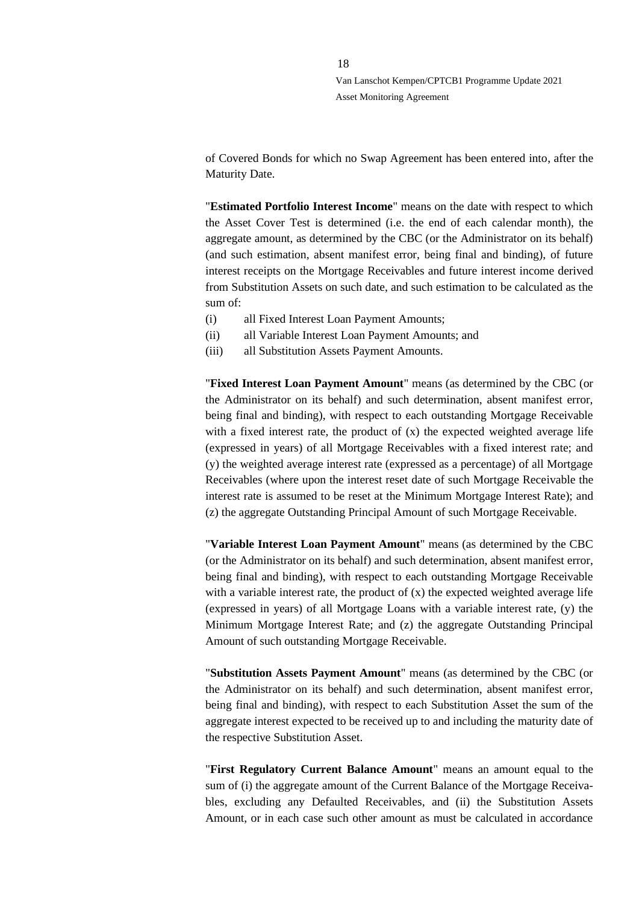of Covered Bonds for which no Swap Agreement has been entered into, after the Maturity Date.

"**Estimated Portfolio Interest Income**" means on the date with respect to which the Asset Cover Test is determined (i.e. the end of each calendar month), the aggregate amount, as determined by the CBC (or the Administrator on its behalf) (and such estimation, absent manifest error, being final and binding), of future interest receipts on the Mortgage Receivables and future interest income derived from Substitution Assets on such date, and such estimation to be calculated as the sum of:

- (i) all Fixed Interest Loan Payment Amounts;
- (ii) all Variable Interest Loan Payment Amounts; and
- (iii) all Substitution Assets Payment Amounts.

"**Fixed Interest Loan Payment Amount**" means (as determined by the CBC (or the Administrator on its behalf) and such determination, absent manifest error, being final and binding), with respect to each outstanding Mortgage Receivable with a fixed interest rate, the product of  $(x)$  the expected weighted average life (expressed in years) of all Mortgage Receivables with a fixed interest rate; and (y) the weighted average interest rate (expressed as a percentage) of all Mortgage Receivables (where upon the interest reset date of such Mortgage Receivable the interest rate is assumed to be reset at the Minimum Mortgage Interest Rate); and (z) the aggregate Outstanding Principal Amount of such Mortgage Receivable.

"**Variable Interest Loan Payment Amount**" means (as determined by the CBC (or the Administrator on its behalf) and such determination, absent manifest error, being final and binding), with respect to each outstanding Mortgage Receivable with a variable interest rate, the product of  $(x)$  the expected weighted average life (expressed in years) of all Mortgage Loans with a variable interest rate, (y) the Minimum Mortgage Interest Rate; and (z) the aggregate Outstanding Principal Amount of such outstanding Mortgage Receivable.

"**Substitution Assets Payment Amount**" means (as determined by the CBC (or the Administrator on its behalf) and such determination, absent manifest error, being final and binding), with respect to each Substitution Asset the sum of the aggregate interest expected to be received up to and including the maturity date of the respective Substitution Asset.

"**First Regulatory Current Balance Amount**" means an amount equal to the sum of (i) the aggregate amount of the Current Balance of the Mortgage Receivables, excluding any Defaulted Receivables, and (ii) the Substitution Assets Amount, or in each case such other amount as must be calculated in accordance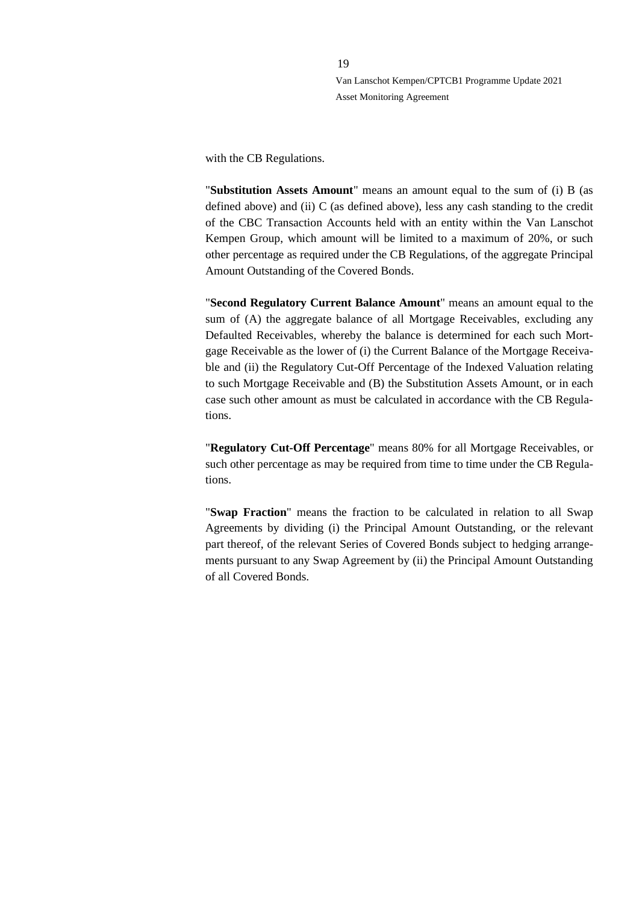with the CB Regulations.

"**Substitution Assets Amount**" means an amount equal to the sum of (i) B (as defined above) and (ii) C (as defined above), less any cash standing to the credit of the CBC Transaction Accounts held with an entity within the Van Lanschot Kempen Group, which amount will be limited to a maximum of 20%, or such other percentage as required under the CB Regulations, of the aggregate Principal Amount Outstanding of the Covered Bonds.

"**Second Regulatory Current Balance Amount**" means an amount equal to the sum of (A) the aggregate balance of all Mortgage Receivables, excluding any Defaulted Receivables, whereby the balance is determined for each such Mortgage Receivable as the lower of (i) the Current Balance of the Mortgage Receivable and (ii) the Regulatory Cut-Off Percentage of the Indexed Valuation relating to such Mortgage Receivable and (B) the Substitution Assets Amount, or in each case such other amount as must be calculated in accordance with the CB Regulations.

"**Regulatory Cut-Off Percentage**" means 80% for all Mortgage Receivables, or such other percentage as may be required from time to time under the CB Regulations.

"**Swap Fraction**" means the fraction to be calculated in relation to all Swap Agreements by dividing (i) the Principal Amount Outstanding, or the relevant part thereof, of the relevant Series of Covered Bonds subject to hedging arrangements pursuant to any Swap Agreement by (ii) the Principal Amount Outstanding of all Covered Bonds.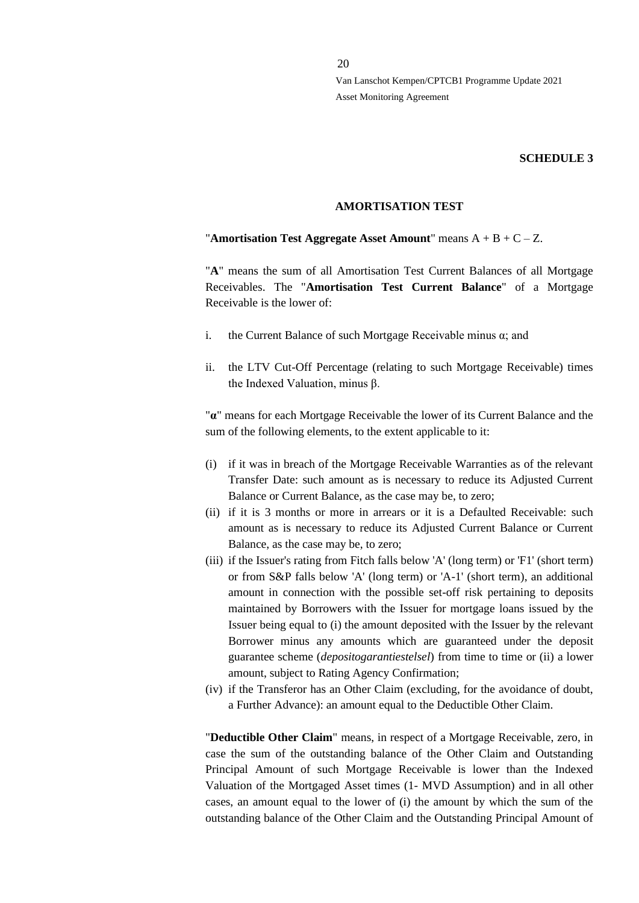#### **SCHEDULE 3**

#### **AMORTISATION TEST**

#### "**Amortisation Test Aggregate Asset Amount**" means A + B + C – Z.

"**A**" means the sum of all Amortisation Test Current Balances of all Mortgage Receivables. The "**Amortisation Test Current Balance**" of a Mortgage Receivable is the lower of:

- i. the Current Balance of such Mortgage Receivable minus  $\alpha$ ; and
- ii. the LTV Cut-Off Percentage (relating to such Mortgage Receivable) times the Indexed Valuation, minus β.

"**α**" means for each Mortgage Receivable the lower of its Current Balance and the sum of the following elements, to the extent applicable to it:

- (i) if it was in breach of the Mortgage Receivable Warranties as of the relevant Transfer Date: such amount as is necessary to reduce its Adjusted Current Balance or Current Balance, as the case may be, to zero;
- (ii) if it is 3 months or more in arrears or it is a Defaulted Receivable: such amount as is necessary to reduce its Adjusted Current Balance or Current Balance, as the case may be, to zero;
- (iii) if the Issuer's rating from Fitch falls below 'A' (long term) or 'F1' (short term) or from S&P falls below 'A' (long term) or 'A-1' (short term), an additional amount in connection with the possible set-off risk pertaining to deposits maintained by Borrowers with the Issuer for mortgage loans issued by the Issuer being equal to (i) the amount deposited with the Issuer by the relevant Borrower minus any amounts which are guaranteed under the deposit guarantee scheme (*depositogarantiestelsel*) from time to time or (ii) a lower amount, subject to Rating Agency Confirmation;
- (iv) if the Transferor has an Other Claim (excluding, for the avoidance of doubt, a Further Advance): an amount equal to the Deductible Other Claim.

"**Deductible Other Claim**" means, in respect of a Mortgage Receivable, zero, in case the sum of the outstanding balance of the Other Claim and Outstanding Principal Amount of such Mortgage Receivable is lower than the Indexed Valuation of the Mortgaged Asset times (1- MVD Assumption) and in all other cases, an amount equal to the lower of (i) the amount by which the sum of the outstanding balance of the Other Claim and the Outstanding Principal Amount of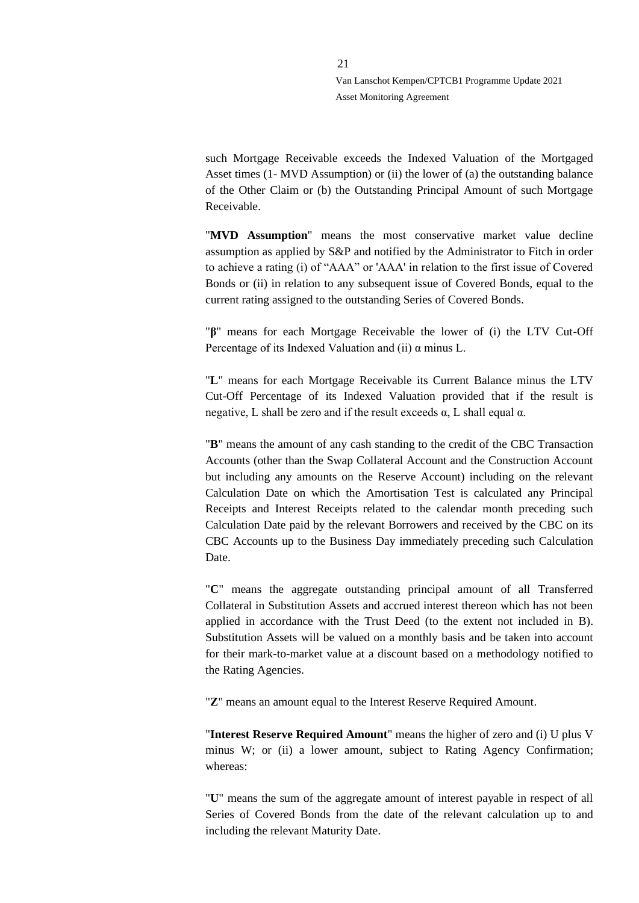such Mortgage Receivable exceeds the Indexed Valuation of the Mortgaged Asset times (1- MVD Assumption) or (ii) the lower of (a) the outstanding balance of the Other Claim or (b) the Outstanding Principal Amount of such Mortgage Receivable.

"**MVD Assumption**" means the most conservative market value decline assumption as applied by S&P and notified by the Administrator to Fitch in order to achieve a rating (i) of "AAA" or 'AAA' in relation to the first issue of Covered Bonds or (ii) in relation to any subsequent issue of Covered Bonds, equal to the current rating assigned to the outstanding Series of Covered Bonds.

"**β**" means for each Mortgage Receivable the lower of (i) the LTV Cut-Off Percentage of its Indexed Valuation and (ii)  $\alpha$  minus L.

"**L**" means for each Mortgage Receivable its Current Balance minus the LTV Cut-Off Percentage of its Indexed Valuation provided that if the result is negative, L shall be zero and if the result exceeds  $α$ , L shall equal  $α$ .

"**B**" means the amount of any cash standing to the credit of the CBC Transaction Accounts (other than the Swap Collateral Account and the Construction Account but including any amounts on the Reserve Account) including on the relevant Calculation Date on which the Amortisation Test is calculated any Principal Receipts and Interest Receipts related to the calendar month preceding such Calculation Date paid by the relevant Borrowers and received by the CBC on its CBC Accounts up to the Business Day immediately preceding such Calculation Date.

"**C**" means the aggregate outstanding principal amount of all Transferred Collateral in Substitution Assets and accrued interest thereon which has not been applied in accordance with the Trust Deed (to the extent not included in B). Substitution Assets will be valued on a monthly basis and be taken into account for their mark-to-market value at a discount based on a methodology notified to the Rating Agencies.

"**Z**" means an amount equal to the Interest Reserve Required Amount.

"**Interest Reserve Required Amount**" means the higher of zero and (i) U plus V minus W; or (ii) a lower amount, subject to Rating Agency Confirmation; whereas:

"**U**" means the sum of the aggregate amount of interest payable in respect of all Series of Covered Bonds from the date of the relevant calculation up to and including the relevant Maturity Date.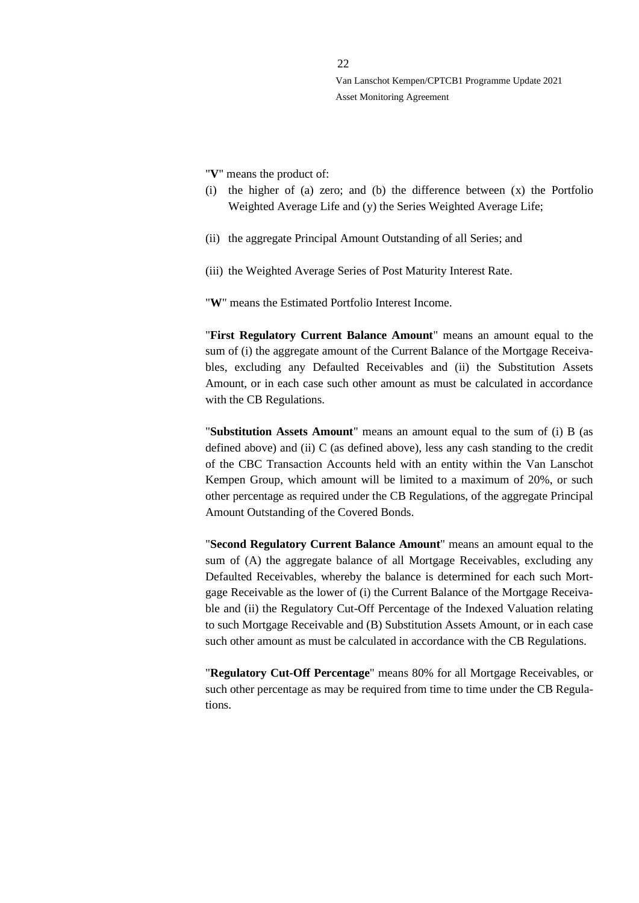"**V**" means the product of:

- (i) the higher of (a) zero; and (b) the difference between (x) the Portfolio Weighted Average Life and (y) the Series Weighted Average Life;
- (ii) the aggregate Principal Amount Outstanding of all Series; and
- (iii) the Weighted Average Series of Post Maturity Interest Rate.

"**W**" means the Estimated Portfolio Interest Income.

"**First Regulatory Current Balance Amount**" means an amount equal to the sum of (i) the aggregate amount of the Current Balance of the Mortgage Receivables, excluding any Defaulted Receivables and (ii) the Substitution Assets Amount, or in each case such other amount as must be calculated in accordance with the CB Regulations.

"**Substitution Assets Amount**" means an amount equal to the sum of (i) B (as defined above) and (ii) C (as defined above), less any cash standing to the credit of the CBC Transaction Accounts held with an entity within the Van Lanschot Kempen Group, which amount will be limited to a maximum of 20%, or such other percentage as required under the CB Regulations, of the aggregate Principal Amount Outstanding of the Covered Bonds.

"**Second Regulatory Current Balance Amount**" means an amount equal to the sum of (A) the aggregate balance of all Mortgage Receivables, excluding any Defaulted Receivables, whereby the balance is determined for each such Mortgage Receivable as the lower of (i) the Current Balance of the Mortgage Receivable and (ii) the Regulatory Cut-Off Percentage of the Indexed Valuation relating to such Mortgage Receivable and (B) Substitution Assets Amount, or in each case such other amount as must be calculated in accordance with the CB Regulations.

"**Regulatory Cut-Off Percentage**" means 80% for all Mortgage Receivables, or such other percentage as may be required from time to time under the CB Regulations.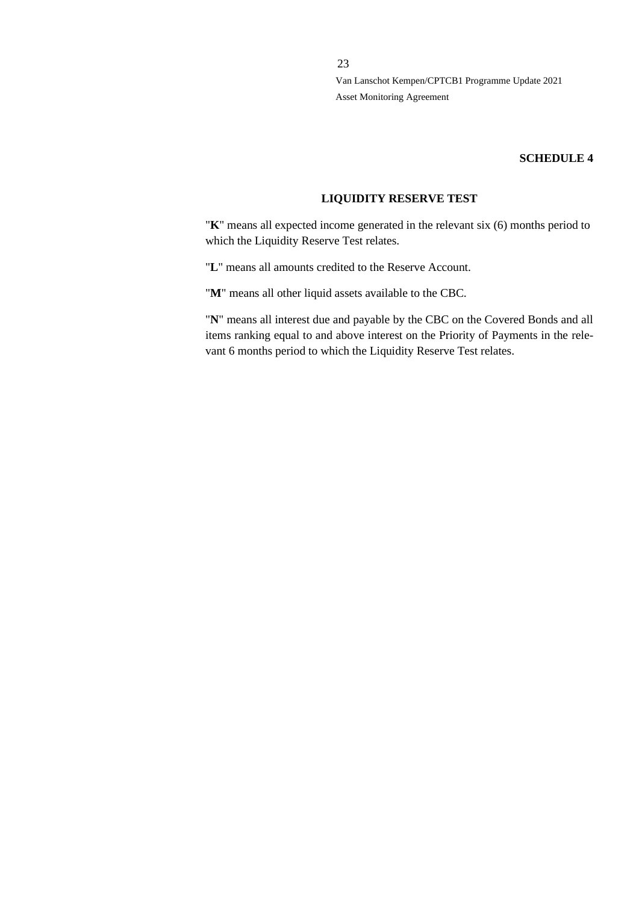## **SCHEDULE 4**

# **LIQUIDITY RESERVE TEST**

"**K**" means all expected income generated in the relevant six (6) months period to which the Liquidity Reserve Test relates.

"**L**" means all amounts credited to the Reserve Account.

"**M**" means all other liquid assets available to the CBC.

"**N**" means all interest due and payable by the CBC on the Covered Bonds and all items ranking equal to and above interest on the Priority of Payments in the relevant 6 months period to which the Liquidity Reserve Test relates.